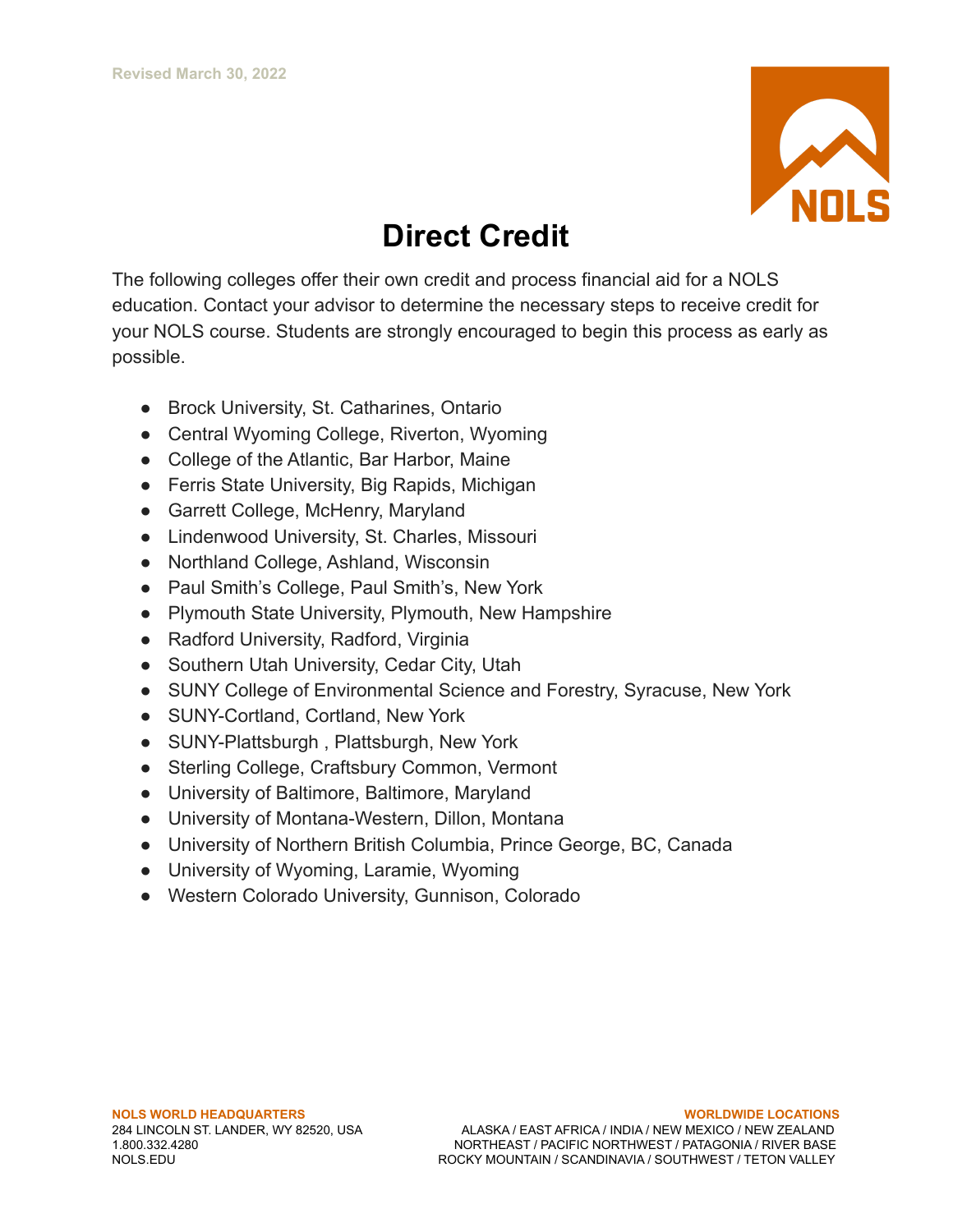

## **Direct Credit**

The following colleges offer their own credit and process financial aid for a NOLS education. Contact your advisor to determine the necessary steps to receive credit for your NOLS course. Students are strongly encouraged to begin this process as early as possible.

- Brock University, St. Catharines, Ontario
- Central Wyoming College, Riverton, Wyoming
- College of the Atlantic, Bar Harbor, Maine
- Ferris State University, Big Rapids, Michigan
- Garrett College, McHenry, Maryland
- Lindenwood University, St. Charles, Missouri
- Northland College, Ashland, Wisconsin
- Paul Smith's College, Paul Smith's, New York
- Plymouth State University, Plymouth, New Hampshire
- Radford University, Radford, Virginia
- Southern Utah University, Cedar City, Utah
- SUNY College of Environmental Science and Forestry, Syracuse, New York
- SUNY-Cortland, Cortland, New York
- SUNY-Plattsburgh, Plattsburgh, New York
- Sterling College, Craftsbury Common, Vermont
- University of Baltimore, Baltimore, Maryland
- University of Montana-Western, Dillon, Montana
- University of Northern British Columbia, Prince George, BC, Canada
- University of Wyoming, Laramie, Wyoming
- Western Colorado University, Gunnison, Colorado